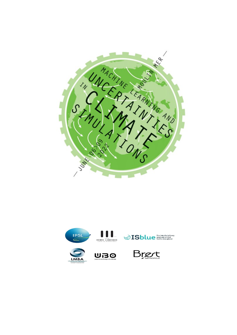

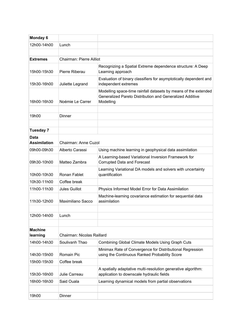| <b>Monday 6</b>             |                                 |                                                                                                                                          |
|-----------------------------|---------------------------------|------------------------------------------------------------------------------------------------------------------------------------------|
| 12h00-14h00                 | Lunch                           |                                                                                                                                          |
|                             |                                 |                                                                                                                                          |
| <b>Extremes</b>             | <b>Chairman: Pierre Ailliot</b> |                                                                                                                                          |
| 15h00-15h30                 | Pierre Riberau                  | Recognizing a Spatial Extreme dependence structure: A Deep<br>Learning approach                                                          |
| 15h30-16h00                 | Juliette Legrand                | Evaluation of binary classifiers for asymptotically dependent and<br>independent extremes                                                |
| 16h00-16h30                 | Noémie Le Carrer                | Modelling space-time rainfall datasets by means of the extended<br>Generalized Pareto Distribution and Generalized Additive<br>Modelling |
| 19h00                       | Dinner                          |                                                                                                                                          |
|                             |                                 |                                                                                                                                          |
| Tuesday 7                   |                                 |                                                                                                                                          |
| Data<br><b>Assimilation</b> | Chairman: Anne Cuzol            |                                                                                                                                          |
| 09h00-09h30                 | Alberto Carassi                 | Using machine learning in geophysical data assimilation                                                                                  |
| 09h30-10h00                 | Matteo Zambra                   | A Learning-based Variational Inversion Framework for<br><b>Corrupted Data and Forecast</b>                                               |
| 10h00-10h30                 | Ronan Fablet                    | Learning Variational DA models and solvers with uncertainty<br>quantification                                                            |
| 10h30-11h00                 | Coffee break                    |                                                                                                                                          |
| 11h00-11h30                 | <b>Jules Guillot</b>            | Physics Informed Model Error for Data Assimilation                                                                                       |
| 11h30-12h00                 | Maximiliano Sacco               | Machine-learning covariance estimation for sequential data<br>assimilation                                                               |
|                             |                                 |                                                                                                                                          |
| 12h00-14h00                 | Lunch                           |                                                                                                                                          |
| <b>Machine</b>              |                                 |                                                                                                                                          |
| learning                    | Chairman: Nicolas Raillard      |                                                                                                                                          |
| 14h00-14h30                 | Soulivanh Thao                  | <b>Combining Global Climate Models Using Graph Cuts</b>                                                                                  |
| 14h30-15h00                 | <b>Romain Pic</b>               | Minimax Rate of Convergence for Distributional Regression<br>using the Continuous Ranked Probability Score                               |
| 15h00-15h30                 | Coffee break                    |                                                                                                                                          |
| 15h30-16h00                 | Julie Carreau                   | A spatially adaptative multi-resolution generative algorithm:<br>application to downscale hydraulic fields                               |
| 16h00-16h30                 | Said Ouala                      | Learning dynamical models from partial observations                                                                                      |
|                             |                                 |                                                                                                                                          |
| 19h00                       | Dinner                          |                                                                                                                                          |